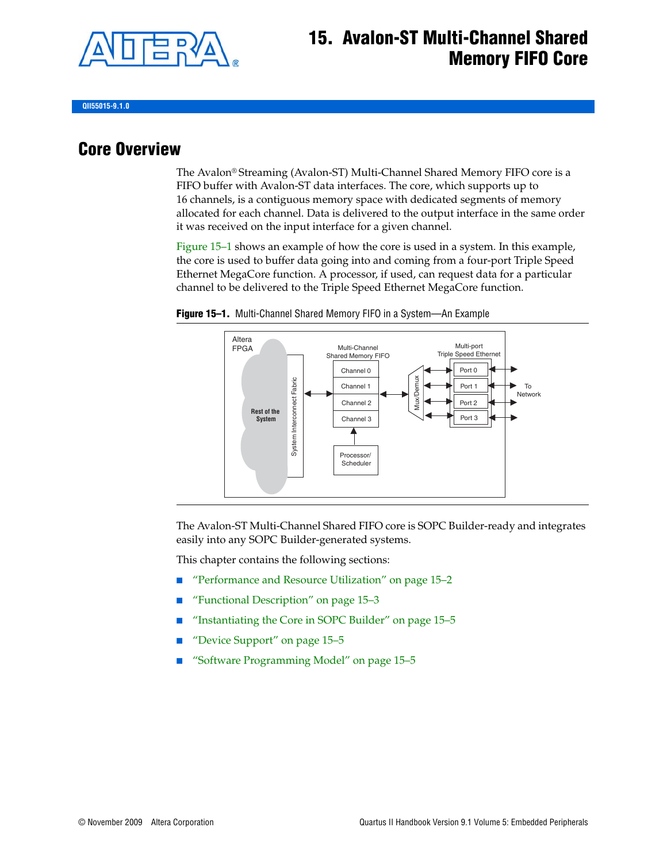

## **15. Avalon-ST Multi-Channel Shared Memory FIFO Core**

**QII55015-9.1.0**

### **Core Overview**

The Avalon® Streaming (Avalon-ST) Multi-Channel Shared Memory FIFO core is a FIFO buffer with Avalon-ST data interfaces. The core, which supports up to 16 channels, is a contiguous memory space with dedicated segments of memory allocated for each channel. Data is delivered to the output interface in the same order it was received on the input interface for a given channel.

[Figure 15–1](#page-0-0) shows an example of how the core is used in a system. In this example, the core is used to buffer data going into and coming from a four-port Triple Speed Ethernet MegaCore function. A processor, if used, can request data for a particular channel to be delivered to the Triple Speed Ethernet MegaCore function.



<span id="page-0-0"></span>**Figure 15–1.** Multi-Channel Shared Memory FIFO in a System—An Example

The Avalon-ST Multi-Channel Shared FIFO core is SOPC Builder-ready and integrates easily into any SOPC Builder-generated systems.

This chapter contains the following sections:

- "Performance and Resource Utilization" on page 15-2
- ["Functional Description" on page 15–3](#page-2-0)
- "Instantiating the Core in SOPC Builder" on page 15-5
- "Device Support" on page 15-5
- "Software Programming Model" on page 15-5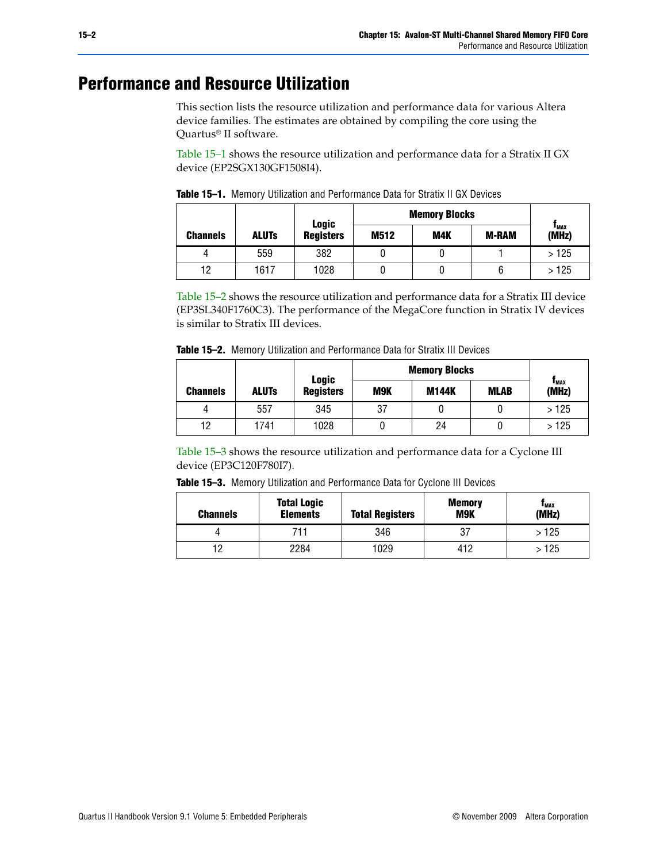## <span id="page-1-0"></span>**Performance and Resource Utilization**

This section lists the resource utilization and performance data for various Altera device families. The estimates are obtained by compiling the core using the Quartus® II software.

[Table 15–1](#page-1-1) shows the resource utilization and performance data for a Stratix II GX device (EP2SGX130GF1508I4).

|                                 |      | <b>Logic</b>     | <b>Memory Blocks</b> |     |              |                             |  |
|---------------------------------|------|------------------|----------------------|-----|--------------|-----------------------------|--|
| <b>ALUTS</b><br><b>Channels</b> |      | <b>Registers</b> | M512                 | M4K | <b>M-RAM</b> | $\mathbf{I}_{MAX}$<br>(MHz) |  |
|                                 | 559  | 382              |                      |     |              | >125                        |  |
| 12                              | 1617 | 1028             |                      |     | 6            | >125                        |  |

<span id="page-1-1"></span>**Table 15–1.** Memory Utilization and Performance Data for Stratix II GX Devices

[Table 15–2](#page-1-2) shows the resource utilization and performance data for a Stratix III device (EP3SL340F1760C3). The performance of the MegaCore function in Stratix IV devices is similar to Stratix III devices.

<span id="page-1-2"></span>

|                 |              | <b>Logic</b>     | <b>Memory Blocks</b> |              |             |               |
|-----------------|--------------|------------------|----------------------|--------------|-------------|---------------|
| <b>Channels</b> | <b>ALUTS</b> | <b>Registers</b> | M9K                  | <b>M144K</b> | <b>MLAB</b> | Тмах<br>(MHz) |
|                 | 557          | 345              | 37                   |              |             | >125          |
| 12              | 1741         | 1028             |                      | 24           |             | >125          |

[Table 15–3](#page-1-3) shows the resource utilization and performance data for a Cyclone III device (EP3C120F780I7).

<span id="page-1-3"></span>

| Table 15-3. Memory Utilization and Performance Data for Cyclone III Devices |  |  |  |  |
|-----------------------------------------------------------------------------|--|--|--|--|
|-----------------------------------------------------------------------------|--|--|--|--|

| <b>Channels</b> | <b>Total Logic</b><br><b>Elements</b> | <b>Total Registers</b> | <b>Memory</b><br><b>M9K</b> | <b>I</b> MAX<br>(MHz) |
|-----------------|---------------------------------------|------------------------|-----------------------------|-----------------------|
|                 | 711                                   | 346                    | 37                          | > 125                 |
| 0 ו             | 2284                                  | 1029                   | 412                         | · 125                 |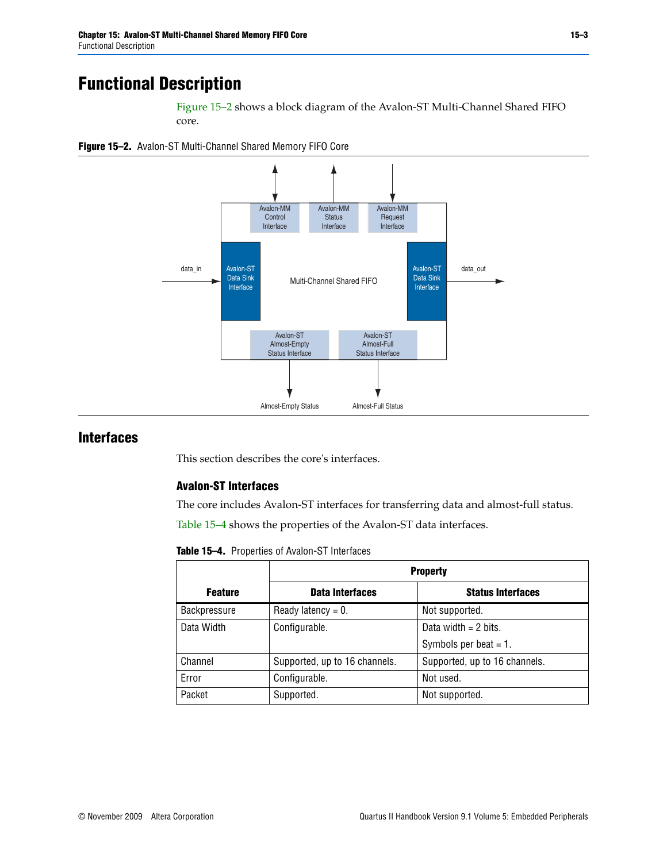# <span id="page-2-0"></span>**Functional Description**

[Figure 15–2](#page-2-1) shows a block diagram of the Avalon-ST Multi-Channel Shared FIFO core.

<span id="page-2-1"></span>



#### **Interfaces**

This section describes the core's interfaces.

#### **Avalon-ST Interfaces**

The core includes Avalon-ST interfaces for transferring data and almost-full status.

[Table 15–4](#page-2-2) shows the properties of the Avalon-ST data interfaces.

<span id="page-2-2"></span>**Table 15–4.** Properties of Avalon-ST Interfaces

|                     | <b>Property</b>               |                               |  |
|---------------------|-------------------------------|-------------------------------|--|
| <b>Feature</b>      | <b>Data Interfaces</b>        | <b>Status Interfaces</b>      |  |
| <b>Backpressure</b> | Ready latency = $0$ .         | Not supported.                |  |
| Data Width          | Configurable.                 | Data width $= 2$ bits.        |  |
|                     |                               | Symbols per beat $= 1$ .      |  |
| Channel             | Supported, up to 16 channels. | Supported, up to 16 channels. |  |
| Error               | Configurable.                 | Not used.                     |  |
| Packet              | Supported.                    | Not supported.                |  |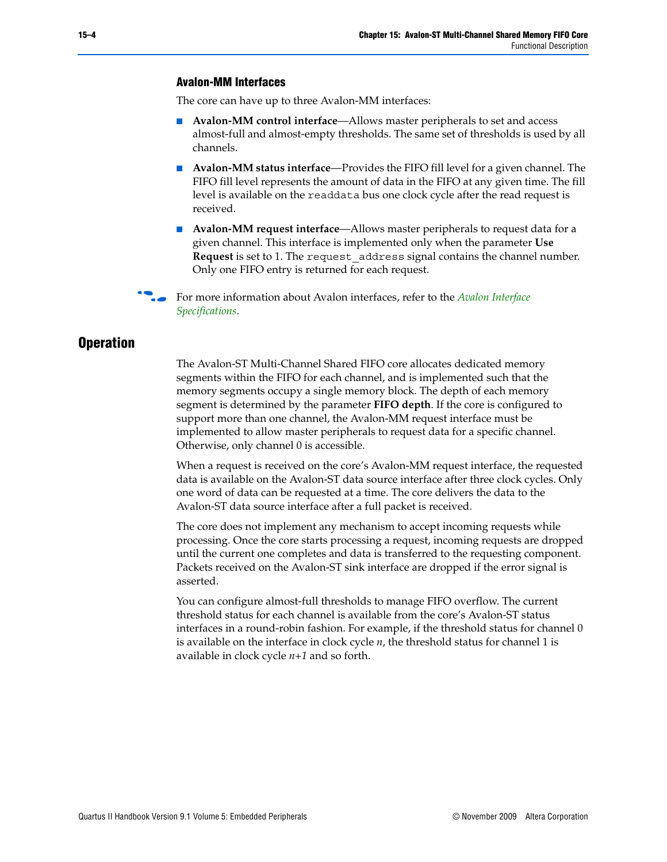#### **Avalon-MM Interfaces**

The core can have up to three Avalon-MM interfaces:

- **Avalon-MM control interface—Allows master peripherals to set and access** almost-full and almost-empty thresholds. The same set of thresholds is used by all channels.
- **Avalon-MM status interface—**Provides the FIFO fill level for a given channel. The FIFO fill level represents the amount of data in the FIFO at any given time. The fill level is available on the readdata bus one clock cycle after the read request is received.
- **Avalon-MM request interface—Allows master peripherals to request data for a** given channel. This interface is implemented only when the parameter **Use Request** is set to 1. The request\_address signal contains the channel number. Only one FIFO entry is returned for each request.

f For more information about Avalon interfaces, refer to the *[Avalon Interface](http://www.altera.com/literature/manual/mnl_avalon_spec.pdf)  [Specifications](http://www.altera.com/literature/manual/mnl_avalon_spec.pdf)*.

#### **Operation**

The Avalon-ST Multi-Channel Shared FIFO core allocates dedicated memory segments within the FIFO for each channel, and is implemented such that the memory segments occupy a single memory block. The depth of each memory segment is determined by the parameter **FIFO depth**. If the core is configured to support more than one channel, the Avalon-MM request interface must be implemented to allow master peripherals to request data for a specific channel. Otherwise, only channel 0 is accessible.

When a request is received on the core's Avalon-MM request interface, the requested data is available on the Avalon-ST data source interface after three clock cycles. Only one word of data can be requested at a time. The core delivers the data to the Avalon-ST data source interface after a full packet is received.

The core does not implement any mechanism to accept incoming requests while processing. Once the core starts processing a request, incoming requests are dropped until the current one completes and data is transferred to the requesting component. Packets received on the Avalon-ST sink interface are dropped if the error signal is asserted.

You can configure almost-full thresholds to manage FIFO overflow. The current threshold status for each channel is available from the core's Avalon-ST status interfaces in a round-robin fashion. For example, if the threshold status for channel 0 is available on the interface in clock cycle *n*, the threshold status for channel 1 is available in clock cycle *n+1* and so forth.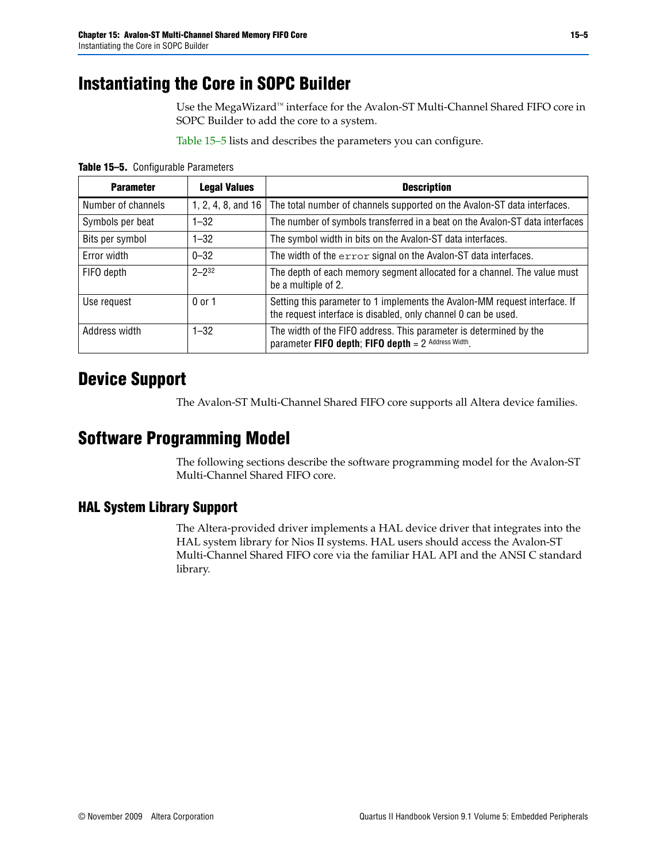# <span id="page-4-2"></span>**Instantiating the Core in SOPC Builder**

Use the MegaWizard™ interface for the Avalon-ST Multi-Channel Shared FIFO core in SOPC Builder to add the core to a system.

[Table 15–5](#page-4-3) lists and describes the parameters you can configure.

<span id="page-4-3"></span>**Table 15–5.** Configurable Parameters

| <b>Parameter</b>   | <b>Legal Values</b>       | <b>Description</b>                                                                                                                           |
|--------------------|---------------------------|----------------------------------------------------------------------------------------------------------------------------------------------|
| Number of channels | 1, 2, 4, 8, and $16 \mid$ | The total number of channels supported on the Avalon-ST data interfaces.                                                                     |
| Symbols per beat   | $1 - 32$                  | The number of symbols transferred in a beat on the Avalon-ST data interfaces                                                                 |
| Bits per symbol    | $1 - 32$                  | The symbol width in bits on the Avalon-ST data interfaces.                                                                                   |
| Error width        | $0 - 32$                  | The width of the error signal on the Avalon-ST data interfaces.                                                                              |
| FIFO depth         | $2 - 232$                 | The depth of each memory segment allocated for a channel. The value must<br>be a multiple of 2.                                              |
| Use request        | 0 or 1                    | Setting this parameter to 1 implements the Avalon-MM request interface. If<br>the request interface is disabled, only channel 0 can be used. |
| Address width      | $1 - 32$                  | The width of the FIFO address. This parameter is determined by the<br>parameter FIFO depth; FIFO depth $= 2$ Address Width.                  |

### <span id="page-4-0"></span>**Device Support**

The Avalon-ST Multi-Channel Shared FIFO core supports all Altera device families.

### <span id="page-4-1"></span>**Software Programming Model**

The following sections describe the software programming model for the Avalon-ST Multi-Channel Shared FIFO core.

#### **HAL System Library Support**

The Altera-provided driver implements a HAL device driver that integrates into the HAL system library for Nios II systems. HAL users should access the Avalon-ST Multi-Channel Shared FIFO core via the familiar HAL API and the ANSI C standard library.